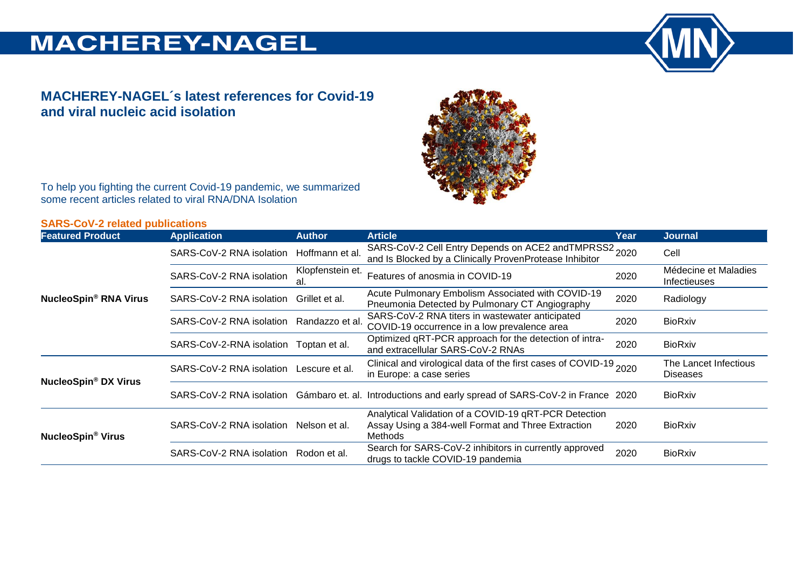# **MACHEREY-NAGEL**



### **MACHEREY-NAGEL´s latest references for Covid-19 and viral nucleic acid isolation**



To help you fighting the current Covid-19 pandemic, we summarized some recent articles related to viral RNA/DNA Isolation

### **SARS-CoV-2 related publications**

| <b>Featured Product</b>                | <b>Application</b>                     | <b>Author</b>           | <b>Article</b>                                                                                                         | Year | <b>Journal</b>                           |
|----------------------------------------|----------------------------------------|-------------------------|------------------------------------------------------------------------------------------------------------------------|------|------------------------------------------|
| <b>NucleoSpin® RNA Virus</b>           | SARS-CoV-2 RNA isolation               | Hoffmann et al.         | SARS-CoV-2 Cell Entry Depends on ACE2 and TMPRSS2 2020<br>and Is Blocked by a Clinically ProvenProtease Inhibitor      |      | Cell                                     |
|                                        | SARS-CoV-2 RNA isolation               | Klopfenstein et.<br>al. | Features of anosmia in COVID-19                                                                                        | 2020 | Médecine et Maladies<br>Infectieuses     |
|                                        | SARS-CoV-2 RNA isolation               | Grillet et al.          | Acute Pulmonary Embolism Associated with COVID-19<br>Pneumonia Detected by Pulmonary CT Angiography                    | 2020 | Radiology                                |
|                                        | SARS-CoV-2 RNA isolation               | Randazzo et al.         | SARS-CoV-2 RNA titers in wastewater anticipated<br>COVID-19 occurrence in a low prevalence area                        | 2020 | <b>BioRxiv</b>                           |
|                                        | SARS-CoV-2-RNA isolation Toptan et al. |                         | Optimized qRT-PCR approach for the detection of intra-<br>and extracellular SARS-CoV-2 RNAs                            | 2020 | <b>BioRxiv</b>                           |
| <b>NucleoSpin<sup>®</sup> DX Virus</b> | SARS-CoV-2 RNA isolation               | Lescure et al.          | Clinical and virological data of the first cases of COVID-19 2020<br>in Europe: a case series                          |      | The Lancet Infectious<br><b>Diseases</b> |
|                                        |                                        |                         | SARS-CoV-2 RNA isolation Gámbaro et. al. Introductions and early spread of SARS-CoV-2 in France 2020                   |      | <b>BioRxiv</b>                           |
| <b>NucleoSpin<sup>®</sup> Virus</b>    | SARS-CoV-2 RNA isolation               | Nelson et al.           | Analytical Validation of a COVID-19 qRT-PCR Detection<br>Assay Using a 384-well Format and Three Extraction<br>Methods | 2020 | <b>BioRxiv</b>                           |
|                                        | SARS-CoV-2 RNA isolation               | Rodon et al.            | Search for SARS-CoV-2 inhibitors in currently approved<br>drugs to tackle COVID-19 pandemia                            | 2020 | <b>BioRxiv</b>                           |